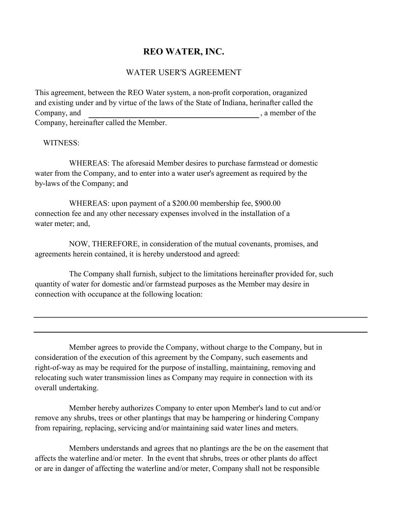## REO WATER, INC.

## WATER USER'S AGREEMENT

This agreement, between the REO Water system, a non-profit corporation, oraganized and existing under and by virtue of the laws of the State of Indiana, herinafter called the Company, and , a member of the set of the set of the set of the set of the set of the set of the set of the set of the set of the set of the set of the set of the set of the set of the set of the set of the set of the set Company, hereinafter called the Member.

## WITNESS:

WHEREAS: The aforesaid Member desires to purchase farmstead or domestic water from the Company, and to enter into a water user's agreement as required by the by-laws of the Company; and

WHEREAS: upon payment of a \$200.00 membership fee, \$900.00 connection fee and any other necessary expenses involved in the installation of a water meter; and,

NOW, THEREFORE, in consideration of the mutual covenants, promises, and agreements herein contained, it is hereby understood and agreed:

The Company shall furnish, subject to the limitations hereinafter provided for, such quantity of water for domestic and/or farmstead purposes as the Member may desire in connection with occupance at the following location:

Member agrees to provide the Company, without charge to the Company, but in consideration of the execution of this agreement by the Company, such easements and right-of-way as may be required for the purpose of installing, maintaining, removing and relocating such water transmission lines as Company may require in connection with its overall undertaking.

Member hereby authorizes Company to enter upon Member's land to cut and/or remove any shrubs, trees or other plantings that may be hampering or hindering Company from repairing, replacing, servicing and/or maintaining said water lines and meters.

Members understands and agrees that no plantings are the be on the easement that affects the waterline and/or meter. In the event that shrubs, trees or other plants do affect or are in danger of affecting the waterline and/or meter, Company shall not be responsible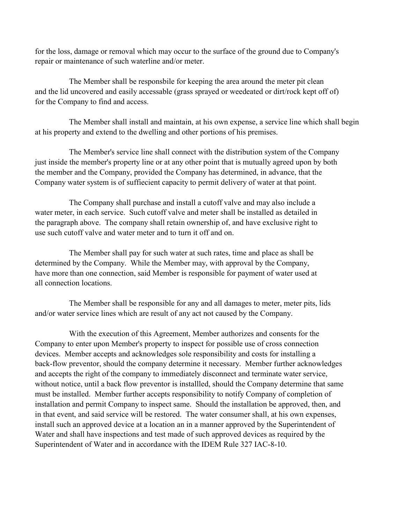for the loss, damage or removal which may occur to the surface of the ground due to Company's repair or maintenance of such waterline and/or meter.

The Member shall be responsbile for keeping the area around the meter pit clean and the lid uncovered and easily accessable (grass sprayed or weedeated or dirt/rock kept off of) for the Company to find and access.

The Member shall install and maintain, at his own expense, a service line which shall begin at his property and extend to the dwelling and other portions of his premises.

The Member's service line shall connect with the distribution system of the Company just inside the member's property line or at any other point that is mutually agreed upon by both the member and the Company, provided the Company has determined, in advance, that the Company water system is of suffiecient capacity to permit delivery of water at that point.

The Company shall purchase and install a cutoff valve and may also include a water meter, in each service. Such cutoff valve and meter shall be installed as detailed in the paragraph above. The company shall retain ownership of, and have exclusive right to use such cutoff valve and water meter and to turn it off and on.

The Member shall pay for such water at such rates, time and place as shall be determined by the Company. While the Member may, with approval by the Company, have more than one connection, said Member is responsible for payment of water used at all connection locations.

The Member shall be responsible for any and all damages to meter, meter pits, lids and/or water service lines which are result of any act not caused by the Company.

With the execution of this Agreement, Member authorizes and consents for the Company to enter upon Member's property to inspect for possible use of cross connection devices. Member accepts and acknowledges sole responsibility and costs for installing a back-flow preventor, should the company determine it necessary. Member further acknowledges and accepts the right of the company to immediately disconnect and terminate water service, without notice, until a back flow preventor is installled, should the Company determine that same must be installed. Member further accepts responsibility to notify Company of completion of installation and permit Company to inspect same. Should the installation be approved, then, and in that event, and said service will be restored. The water consumer shall, at his own expenses, install such an approved device at a location an in a manner approved by the Superintendent of Water and shall have inspections and test made of such approved devices as required by the Superintendent of Water and in accordance with the IDEM Rule 327 IAC-8-10.